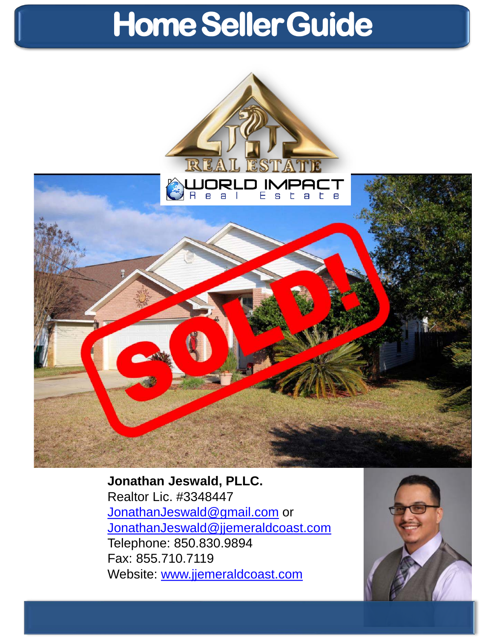

**Jonathan Jeswald, PLLC.** Realtor Lic. #3348447 [JonathanJeswald@gmail.com](mailto:JonathanJeswald@gmail.com) or [JonathanJeswald@jjemeraldcoast.com](mailto:JonathanJeswald@jjemeraldcoast.com) Telephone: 850.830.9894 Fax: 855.710.7119 Website: [www.jjemeraldcoast.com](http://www.jjemeraldcoast.com/)

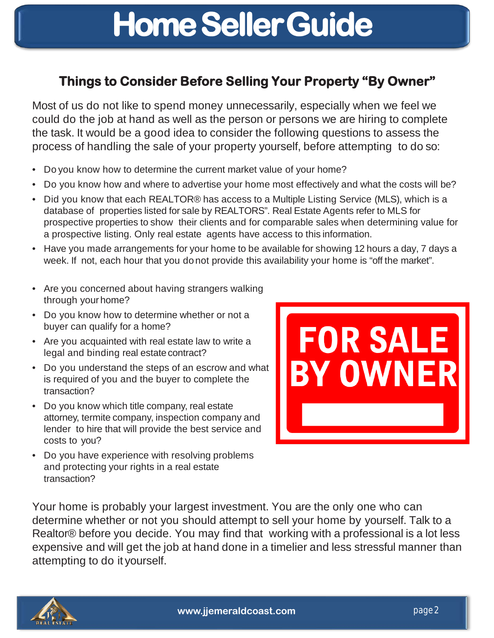## **Things to Consider Before Selling Your Property "By Owner"**

Most of us do not like to spend money unnecessarily, especially when we feel we could do the job at hand as well as the person or persons we are hiring to complete the task. It would be a good idea to consider the following questions to assess the process of handling the sale of your property yourself, before attempting to do so:

- Do you know how to determine the current market value of your home?
- Do you know how and where to advertise your home most effectively and what the costs will be?
- Did you know that each REALTOR® has access to a Multiple Listing Service (MLS), which is a database of properties listed for sale by REALTORS". Real Estate Agents refer to MLS for prospective properties to show their clients and for comparable sales when determining value for a prospective listing. Only real estate agents have access to this information.
- Have you made arrangements for your home to be available for showing 12 hours a day, 7 days a week. If not, each hour that you donot provide this availability your home is "off the market".
- Are you concerned about having strangers walking through yourhome?
- Do you know how to determine whether or not a buyer can qualify for a home?
- Are you acquainted with real estate law to write a legal and binding real estate contract?
- Do you understand the steps of an escrow and what is required of you and the buyer to complete the transaction?
- Do you know which title company, real estate attorney, termite company, inspection company and lender to hire that will provide the best service and costs to you?
- **FOR SALE BY OWNER**
- Do you have experience with resolving problems and protecting your rights in a real estate transaction?

Your home is probably your largest investment. You are the only one who can determine whether or not you should attempt to sell your home by yourself. Talk to a Realtor® before you decide. You may find that working with a professional is a lot less expensive and will get the job at hand done in a timelier and less stressful manner than attempting to do it yourself.

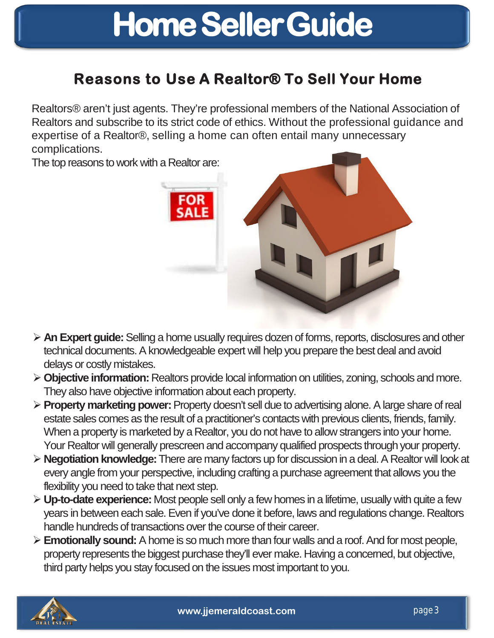## **Reasons to Use A Realtor® To Sell Your Home**

Realtors® aren't just agents. They're professional members of the National Association of Realtors and subscribe to its strict code of ethics. Without the professional guidance and expertise of a Realtor®, selling a home can often entail many unnecessary complications.

The top reasons to work with a Realtor are:



- **An Expert guide:** Selling a home usually requires dozen of forms, reports, disclosures and other technical documents. A knowledgeable expert will help you prepare the best deal and avoid delays or costly mistakes.
- **Objective information:** Realtors provide local information on utilities, zoning, schools and more. They also have objective information about each property.
- **Property marketing power:** Property doesn't sell due to advertising alone. A large share of real estate sales comes as the result of a practitioner's contacts with previous clients, friends, family. When a property is marketed by a Realtor, you do not have to allow strangers into your home. Your Realtor will generally prescreen and accompany qualified prospects through your property.
- **Negotiation knowledge:** There are many factors up for discussion in a deal. A Realtor will look at every angle from your perspective, including crafting a purchase agreement that allows you the flexibility you need to take that next step.
- **Up-to-date experience:** Most people sell only a few homes in a lifetime, usually with quite a few years in between each sale. Even if you've done it before, laws and regulations change. Realtors handle hundreds of transactions over the course of their career.
- **Emotionally sound:** A home is so much more than four walls and a roof. And for most people, property represents the biggest purchase they'll ever make. Having a concerned, but objective, third party helps you stay focused on the issues most important to you.

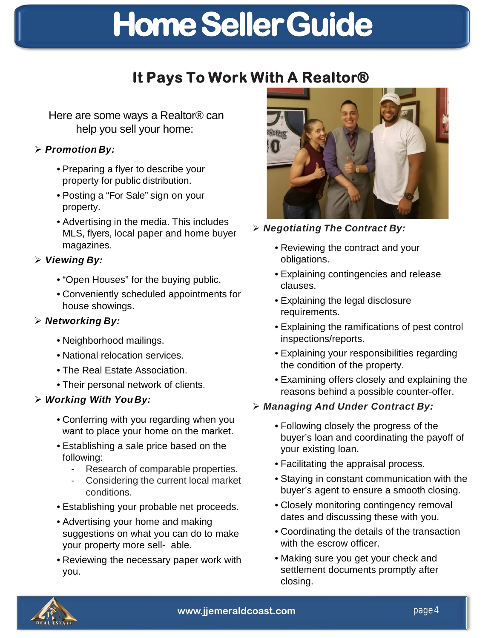## **It Pays To Work With A Realtor®**

Here are some ways a Realtor® can help you sell your home:

### *Promotion By:*

- Preparing a flyer to describe your property for public distribution.
- Posting a "For Sale" sign on your property.
- Advertising in the media. This includes MLS, flyers, local paper and home buyer magazines.

### *Viewing By:*

- "Open Houses" for the buying public.
- Conveniently scheduled appointments for house showings.

### *Networking By:*

- Neighborhood mailings.
- National relocation services.
- The Real Estate Association.
- Their personal network of clients.

### *Working With You By:*

- Conferring with you regarding when you want to place your home on the market.
- Establishing a sale price based on the following:
	- Research of comparable properties.
	- Considering the current local market conditions.
- Establishing your probable net proceeds.
- Advertising your home and making suggestions on what you can do to make your property more sell- able.
- Reviewing the necessary paper work with you.



*Negotiating The Contract By:*

- Reviewing the contract and your obligations.
- Explaining contingencies and release clauses.
- Explaining the legal disclosure requirements.
- Explaining the ramifications of pest control inspections/reports.
- Explaining your responsibilities regarding the condition of the property.
- Examining offers closely and explaining the reasons behind a possible counter-offer.

## *Managing And Under Contract By:*

- Following closely the progress of the buyer's loan and coordinating the payoff of your existing loan.
- Facilitating the appraisal process.
- Staying in constant communication with the buyer's agent to ensure a smooth closing.
- Closely monitoring contingency removal dates and discussing these with you.
- Coordinating the details of the transaction with the escrow officer.
- Making sure you get your check and settlement documents promptly after closing.

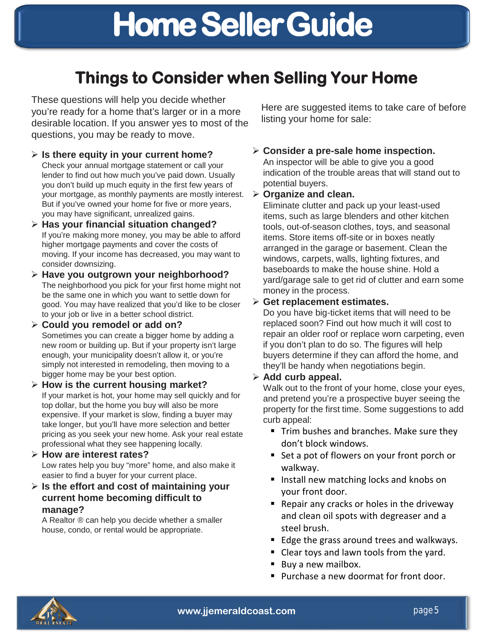## **Things to Consider when Selling Your Home**

These questions will help you decide whether you're ready for a home that's larger or in a more desirable location. If you answer yes to most of the questions, you may be ready to move.

- **Is there equity in your current home?**  Check your annual mortgage statement or call your lender to find out how much you've paid down. Usually you don't build up much equity in the first few years of your mortgage, as monthly payments are mostly interest. But if you've owned your home for five or more years, you may have significant, unrealized gains.
- **Has your financial situation changed?**  If you're making more money, you may be able to afford higher mortgage payments and cover the costs of moving. If your income has decreased, you may want to consider downsizing.
- **Have you outgrown your neighborhood?**  The neighborhood you pick for your first home might not be the same one in which you want to settle down for good. You may have realized that you'd like to be closer to your job or live in a better school district.
- **Could you remodel or add on?**  Sometimes you can create a bigger home by adding a new room or building up. But if your property isn't large enough, your municipality doesn't allow it, or you're simply not interested in remodeling, then moving to a bigger home may be your best option.
- **How is the current housing market?**  If your market is hot, your home may sell quickly and for top dollar, but the home you buy will also be more expensive. If your market is slow, finding a buyer may take longer, but you'll have more selection and better pricing as you seek your new home. Ask your real estate professional what they see happening locally.
- **How are interest rates?**  Low rates help you buy "more" home, and also make it easier to find a buyer for your current place.
- **Is the effort and cost of maintaining your current home becoming difficult to manage?**

A Realtor ® can help you decide whether a smaller house, condo, or rental would be appropriate.

Here are suggested items to take care of before listing your home for sale:

 **Consider a pre-sale home inspection.** An inspector will be able to give you a good indication of the trouble areas that will stand out to potential buyers.

#### **Organize and clean.**

Eliminate clutter and pack up your least-used items, such as large blenders and other kitchen tools, out-of-season clothes, toys, and seasonal items. Store items off-site or in boxes neatly arranged in the garage or basement. Clean the windows, carpets, walls, lighting fixtures, and baseboards to make the house shine. Hold a yard/garage sale to get rid of clutter and earn some money in the process.

#### **Get replacement estimates.**

Do you have big-ticket items that will need to be replaced soon? Find out how much it will cost to repair an older roof or replace worn carpeting, even if you don't plan to do so. The figures will help buyers determine if they can afford the home, and they'll be handy when negotiations begin.

### **Add curb appeal.**

Walk out to the front of your home, close your eyes, and pretend you're a prospective buyer seeing the property for the first time. Some suggestions to add curb appeal:

- Trim bushes and branches. Make sure they don't block windows.
- Set a pot of flowers on your front porch or walkway.
- **If** Install new matching locks and knobs on your front door.
- Repair any cracks or holes in the driveway and clean oil spots with degreaser and a steel brush.
- Edge the grass around trees and walkways.
- Clear toys and lawn tools from the yard.
- Buy a new mailbox.
- **Purchase a new doormat for front door.**

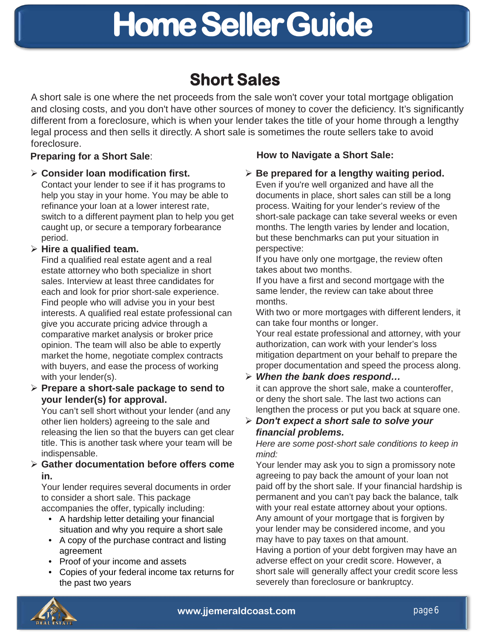## **Short Sales**

A short sale is one where the net proceeds from the sale won't cover your total mortgage obligation and closing costs, and you don't have other sources of money to cover the deficiency. It's significantly different from a foreclosure, which is when your lender takes the title of your home through a lengthy legal process and then sells it directly. A short sale is sometimes the route sellers take to avoid foreclosure.

#### **Consider loan modification first.**

Contact your lender to see if it has programs to help you stay in your home. You may be able to refinance your loan at a lower interest rate, switch to a different payment plan to help you get caught up, or secure a temporary forbearance period.

### **Hire a qualified team.**

Find a qualified real estate agent and a real estate attorney who both specialize in short sales. Interview at least three candidates for each and look for prior short-sale experience. Find people who will advise you in your best interests. A qualified real estate professional can give you accurate pricing advice through a comparative market analysis or broker price opinion. The team will also be able to expertly market the home, negotiate complex contracts with buyers, and ease the process of working with your lender(s).

#### **Prepare a short-sale package to send to your lender(s) for approval.**

You can't sell short without your lender (and any other lien holders) agreeing to the sale and releasing the lien so that the buyers can get clear title. This is another task where your team will be indispensable.

### **Gather documentation before offers come in.**

Your lender requires several documents in order to consider a short sale. This package accompanies the offer, typically including:

- A hardship letter detailing your financial situation and why you require a short sale
- A copy of the purchase contract and listing agreement
- Proof of your income and assets
- Copies of your federal income tax returns for the past two years

## **Preparing for a Short Sale**: **How to Navigate a Short Sale:**

### **Be prepared for a lengthy waiting period.**

Even if you're well organized and have all the documents in place, short sales can still be a long process. Waiting for your lender's review of the short-sale package can take several weeks or even months. The length varies by lender and location, but these benchmarks can put your situation in perspective:

If you have only one mortgage, the review often takes about two months.

If you have a first and second mortgage with the same lender, the review can take about three months.

With two or more mortgages with different lenders, it can take four months or longer.

Your real estate professional and attorney, with your authorization, can work with your lender's loss mitigation department on your behalf to prepare the proper documentation and speed the process along.

### *When the bank does respond…*

it can approve the short sale, make a counteroffer, or deny the short sale. The last two actions can lengthen the process or put you back at square one.

### *Don't expect a short sale to solve your financial problems.*

*Here are some post-short sale conditions to keep in mind:*

Your lender may ask you to sign a promissory note agreeing to pay back the amount of your loan not paid off by the short sale. If your financial hardship is permanent and you can't pay back the balance, talk with your real estate attorney about your options. Any amount of your mortgage that is forgiven by your lender may be considered income, and you may have to pay taxes on that amount.

Having a portion of your debt forgiven may have an adverse effect on your credit score. However, a short sale will generally affect your credit score less severely than foreclosure or bankruptcy.

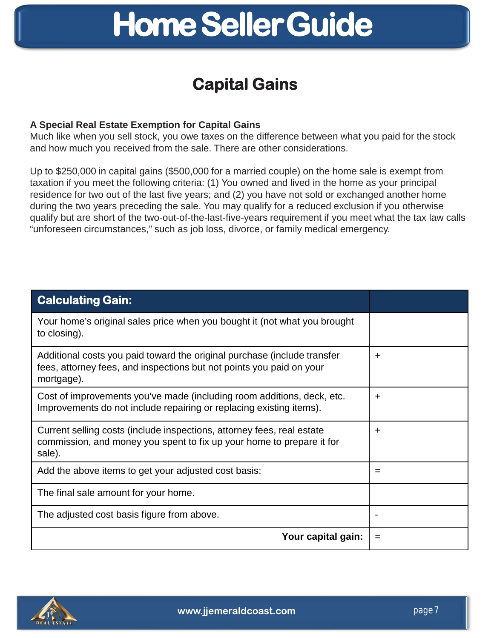## **Capital Gains**

### **A Special Real Estate Exemption for Capital Gains**

Much like when you sell stock, you owe taxes on the difference between what you paid for the stock and how much you received from the sale. There are other considerations.

Up to \$250,000 in capital gains (\$500,000 for a married couple) on the home sale is exempt from taxation if you meet the following criteria: (1) You owned and lived in the home as your principal residence for two out of the last five years; and (2) you have not sold or exchanged another home during the two years preceding the sale. You may qualify for a reduced exclusion if you otherwise qualify but are short of the two-out-of-the-last-five-years requirement if you meet what the tax law calls "unforeseen circumstances," such as job loss, divorce, or family medical emergency.

| <b>Calculating Gain:</b>                                                                                                                                       |   |
|----------------------------------------------------------------------------------------------------------------------------------------------------------------|---|
| Your home's original sales price when you bought it (not what you brought<br>to closing).                                                                      |   |
| Additional costs you paid toward the original purchase (include transfer<br>fees, attorney fees, and inspections but not points you paid on your<br>mortgage). | + |
| Cost of improvements you've made (including room additions, deck, etc.<br>Improvements do not include repairing or replacing existing items).                  | + |
| Current selling costs (include inspections, attorney fees, real estate<br>commission, and money you spent to fix up your home to prepare it for<br>sale).      | ÷ |
| Add the above items to get your adjusted cost basis:                                                                                                           | = |
| The final sale amount for your home.                                                                                                                           |   |
| The adjusted cost basis figure from above.                                                                                                                     |   |
| Your capital gain:                                                                                                                                             |   |

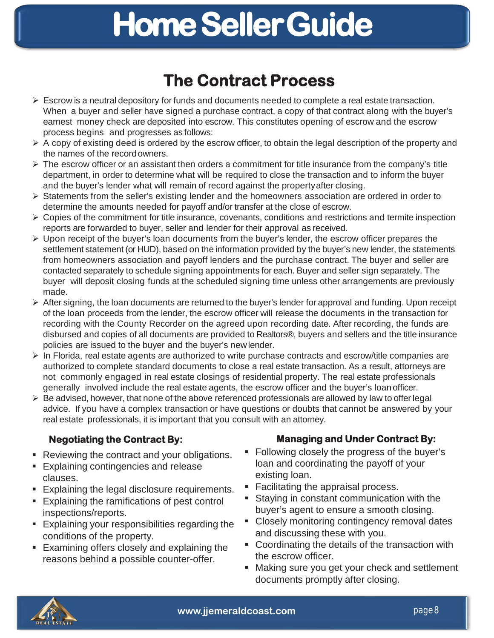## **The Contract Process**

- $\triangleright$  Escrow is a neutral depository for funds and documents needed to complete a real estate transaction. When a buyer and seller have signed a purchase contract, a copy of that contract along with the buyer's earnest money check are deposited into escrow. This constitutes opening of escrow and the escrow process begins and progresses as follows:
- $\triangleright$  A copy of existing deed is ordered by the escrow officer, to obtain the legal description of the property and the names of the recordowners.
- $\triangleright$  The escrow officer or an assistant then orders a commitment for title insurance from the company's title department, in order to determine what will be required to close the transaction and to inform the buyer and the buyer's lender what will remain of record against the propertyafter closing.
- $\triangleright$  Statements from the seller's existing lender and the homeowners association are ordered in order to determine the amounts needed for payoff and/or transfer at the close of escrow.
- Copies of the commitment for title insurance, covenants, conditions and restrictions and termite inspection reports are forwarded to buyer, seller and lender for their approval as received.
- $\triangleright$  Upon receipt of the buyer's loan documents from the buyer's lender, the escrow officer prepares the settlement statement (or HUD), based on the information provided by the buyer's new lender, the statements from homeowners association and payoff lenders and the purchase contract. The buyer and seller are contacted separately to schedule signing appointments for each. Buyer and seller sign separately. The buyer will deposit closing funds at the scheduled signing time unless other arrangements are previously made.
- $\triangleright$  After signing, the loan documents are returned to the buyer's lender for approval and funding. Upon receipt of the loan proceeds from the lender, the escrow officer will release the documents in the transaction for recording with the County Recorder on the agreed upon recording date. After recording, the funds are disbursed and copies of all documents are provided to Realtors®, buyers and sellers and the title insurance policies are issued to the buyer and the buyer's newlender.
- $\triangleright$  In Florida, real estate agents are authorized to write purchase contracts and escrow/title companies are authorized to complete standard documents to close a real estate transaction. As a result, attorneys are not commonly engaged in real estate closings of residential property. The real estate professionals generally involved include the real estate agents, the escrow officer and the buyer's loan officer.
- $\triangleright$  Be advised, however, that none of the above referenced professionals are allowed by law to offer legal advice. If you have a complex transaction or have questions or doubts that cannot be answered by your real estate professionals, it is important that you consult with an attorney.

- **Reviewing the contract and your obligations.**
- **Explaining contingencies and release** clauses.
- **Explaining the legal disclosure requirements.**
- **Explaining the ramifications of pest control** inspections/reports.
- **Explaining your responsibilities regarding the** conditions of the property.
- **Examining offers closely and explaining the** reasons behind a possible counter-offer.

## **Negotiating the Contract By: Managing and Under Contract By:**

- **Following closely the progress of the buyer's** loan and coordinating the payoff of your existing loan.
- **Facilitating the appraisal process.**
- Staying in constant communication with the buyer's agent to ensure a smooth closing.
- **EXECT** Closely monitoring contingency removal dates and discussing these with you.
- **Coordinating the details of the transaction with** the escrow officer.
- Making sure you get your check and settlement documents promptly after closing.

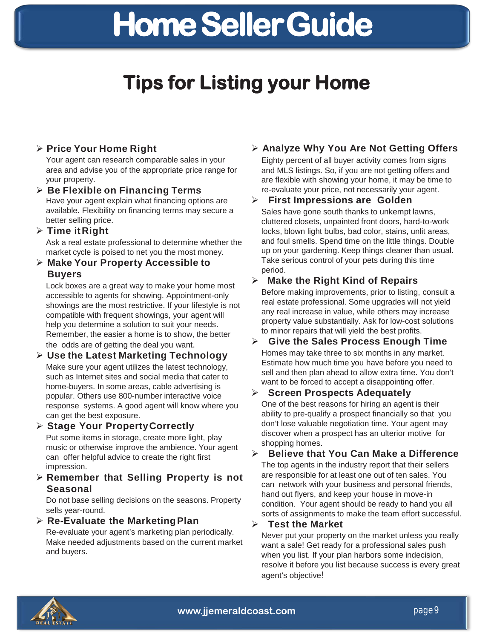## **Tips for Listing your Home**

### **Price Your Home Right**

Your agent can research comparable sales in your area and advise you of the appropriate price range for your property.

#### **Be Flexible on Financing Terms** Have your agent explain what financing options are available. Flexibility on financing terms may secure a

better selling price. **Time it Right**

> Ask a real estate professional to determine whether the market cycle is poised to net you the most money.

#### **Make Your Property Accessible to Buyers**

Lock boxes are a great way to make your home most accessible to agents for showing. Appointment-only showings are the most restrictive. If your lifestyle is not compatible with frequent showings, your agent will help you determine a solution to suit your needs. Remember, the easier a home is to show, the better the odds are of getting the deal you want.

#### **Use the Latest Marketing Technology** Make sure your agent utilizes the latest technology, such as Internet sites and social media that cater to home-buyers. In some areas, cable advertising is popular. Others use 800-number interactive voice response systems. A good agent will know where you can get the best exposure.

### **Stage Your PropertyCorrectly**

Put some items in storage, create more light, play music or otherwise improve the ambience. Your agent can offer helpful advice to create the right first impression.

 **Remember that Selling Property is not Seasonal**

Do not base selling decisions on the seasons. Property sells year-round.

**Re-Evaluate the MarketingPlan**

Re-evaluate your agent's marketing plan periodically. Make needed adjustments based on the current market and buyers.

## **Analyze Why You Are Not Getting Offers**

Eighty percent of all buyer activity comes from signs and MLS listings. So, if you are not getting offers and are flexible with showing your home, it may be time to re-evaluate your price, not necessarily your agent.

#### **First Impressions are Golden** Sales have gone south thanks to unkempt lawns, cluttered closets, unpainted front doors, hard-to-work

locks, blown light bulbs, bad color, stains, unlit areas, and foul smells. Spend time on the little things. Double up on your gardening. Keep things cleaner than usual. Take serious control of your pets during this time period.

## **Make the Right Kind of Repairs**

Before making improvements, prior to listing, consult a real estate professional. Some upgrades will not yield any real increase in value, while others may increase property value substantially. Ask for low-cost solutions to minor repairs that will yield the best profits.

#### **Give the Sales Process Enough Time** Homes may take three to six months in any market. Estimate how much time you have before you need to sell and then plan ahead to allow extra time. You don't want to be forced to accept a disappointing offer.

## **Screen Prospects Adequately**

One of the best reasons for hiring an agent is their ability to pre-qualify a prospect financially so that you don't lose valuable negotiation time. Your agent may discover when a prospect has an ulterior motive for shopping homes.

### **Believe that You Can Make a Difference**

The top agents in the industry report that their sellers are responsible for at least one out of ten sales. You can network with your business and personal friends, hand out flyers, and keep your house in move-in condition. Your agent should be ready to hand you all sorts of assignments to make the team effort successful.

#### **Test the Market**

Never put your property on the market unless you really want a sale! Get ready for a professional sales push when you list. If your plan harbors some indecision, resolve it before you list because success is every great agent's objective!

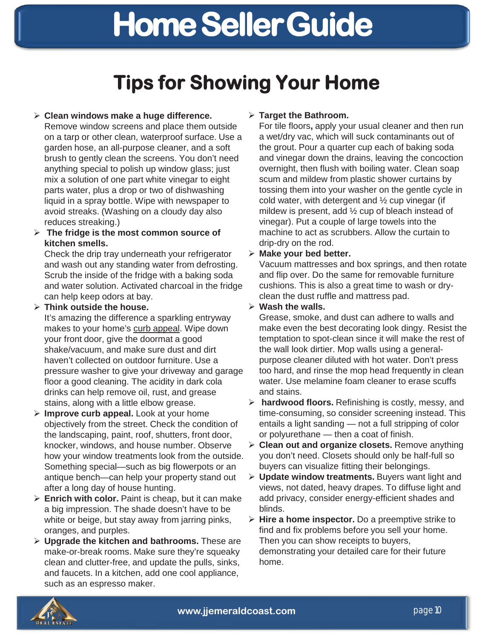## **Tips for Showing Your Home**

#### **Clean windows make a huge difference.**

Remove window screens and place them outside on a tarp or other clean, waterproof surface. Use a garden hose, an all-purpose cleaner, and a soft brush to gently clean the screens. You don't need anything special to polish up window glass; just mix a solution of one part white vinegar to eight parts water, plus a drop or two of dishwashing liquid in a spray bottle. Wipe with newspaper to avoid streaks. (Washing on a cloudy day also reduces streaking.)

#### **The fridge is the most common source of kitchen smells.**

Check the drip tray underneath your refrigerator and wash out any standing water from defrosting. Scrub the inside of the fridge with a baking soda and water solution. Activated charcoal in the fridge can help keep odors at bay.

#### **Think outside the house.**

It's amazing the difference a sparkling entryway makes to your home's curb appeal. Wipe down your front door, give the doormat a good shake/vacuum, and make sure dust and dirt haven't collected on outdoor furniture. Use a pressure washer to give your driveway and garage floor a good cleaning. The acidity in dark cola drinks can help remove oil, rust, and grease stains, along with a little elbow grease.

- **Improve curb appeal.** Look at your home objectively from the street. Check the condition of the landscaping, paint, roof, shutters, front door, knocker, windows, and house number. Observe how your window treatments look from the outside. Something special—such as big flowerpots or an antique bench—can help your property stand out after a long day of house hunting.
- **Enrich with color.** Paint is cheap, but it can make a big impression. The shade doesn't have to be white or beige, but stay away from jarring pinks, oranges, and purples.
- **Upgrade the kitchen and bathrooms.** These are make-or-break rooms. Make sure they're squeaky clean and clutter-free, and update the pulls, sinks, and faucets. In a kitchen, add one cool appliance, such as an espresso maker.

#### **Target the Bathroom.**

For tile floors**,** apply your usual cleaner and then run a wet/dry vac, which will suck contaminants out of the grout. Pour a quarter cup each of baking soda and vinegar down the drains, leaving the concoction overnight, then flush with boiling water. Clean soap scum and mildew from plastic shower curtains by tossing them into your washer on the gentle cycle in cold water, with detergent and  $\frac{1}{2}$  cup vinegar (if mildew is present, add ½ cup of bleach instead of vinegar). Put a couple of large towels into the machine to act as scrubbers. Allow the curtain to drip-dry on the rod.

#### **Make your bed better.**

Vacuum mattresses and box springs, and then rotate and flip over. Do the same for removable furniture cushions. This is also a great time to wash or dryclean the dust ruffle and mattress pad.

#### **Wash the walls.**

Grease, smoke, and dust can adhere to walls and make even the best decorating look dingy. Resist the temptation to spot-clean since it will make the rest of the wall look dirtier. Mop walls using a generalpurpose cleaner diluted with hot water. Don't press too hard, and rinse the mop head frequently in clean water. Use melamine foam cleaner to erase scuffs and stains.

- **hardwood floors.** Refinishing is costly, messy, and time-consuming, so consider screening instead. This entails a light sanding — not a full stripping of color or polyurethane — then a coat of finish.
- **Clean out and organize closets.** Remove anything you don't need. Closets should only be half-full so buyers can visualize fitting their belongings.
- **Update window treatments.** Buyers want light and views, not dated, heavy drapes. To diffuse light and add privacy, consider energy-efficient shades and blinds.
- **Hire a home inspector.** Do a preemptive strike to find and fix problems before you sell your home. Then you can show receipts to buyers, demonstrating your detailed care for their future home.

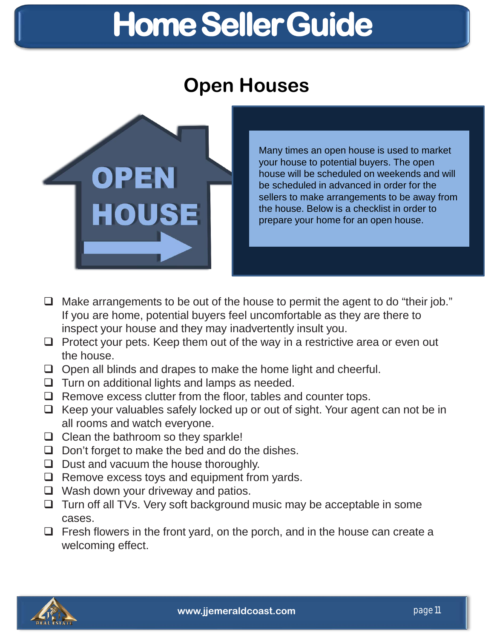## **Open Houses**



Many times an open house is used to market your house to potential buyers. The open house will be scheduled on weekends and will be scheduled in advanced in order for the sellers to make arrangements to be away from the house. Below is a checklist in order to prepare your home for an open house.

- $\Box$  Make arrangements to be out of the house to permit the agent to do "their job." If you are home, potential buyers feel uncomfortable as they are there to inspect your house and they may inadvertently insult you.
- $\Box$  Protect your pets. Keep them out of the way in a restrictive area or even out the house.
- $\Box$  Open all blinds and drapes to make the home light and cheerful.
- $\Box$  Turn on additional lights and lamps as needed.
- $\Box$  Remove excess clutter from the floor, tables and counter tops.
- $\Box$  Keep your valuables safely locked up or out of sight. Your agent can not be in all rooms and watch everyone.
- $\Box$  Clean the bathroom so they sparkle!
- $\Box$  Don't forget to make the bed and do the dishes.
- $\Box$  Dust and vacuum the house thoroughly.
- $\Box$  Remove excess toys and equipment from yards.
- $\Box$  Wash down your driveway and patios.
- $\Box$  Turn off all TVs. Very soft background music may be acceptable in some cases.
- $\Box$  Fresh flowers in the front yard, on the porch, and in the house can create a welcoming effect.

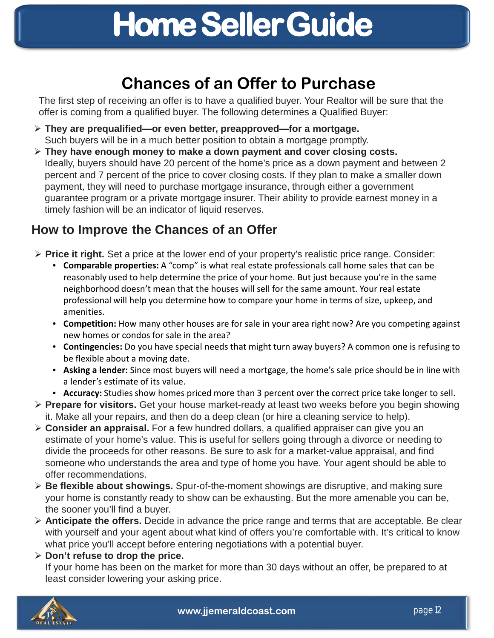## **Chances of an Offer to Purchase**

The first step of receiving an offer is to have a qualified buyer. Your Realtor will be sure that the offer is coming from a qualified buyer. The following determines a Qualified Buyer:

- **They are prequalified—or even better, preapproved—for a mortgage.** Such buyers will be in a much better position to obtain a mortgage promptly.
- **They have enough money to make a down payment and cover closing costs.** Ideally, buyers should have 20 percent of the home's price as a down payment and between 2 percent and 7 percent of the price to cover closing costs. If they plan to make a smaller down payment, they will need to purchase mortgage insurance, through either a government guarantee program or a private mortgage insurer. Their ability to provide earnest money in a timely fashion will be an indicator of liquid reserves.

## **How to Improve the Chances of an Offer**

- **Price it right.** Set a price at the lower end of your property's realistic price range. Consider:
	- **Comparable properties:** A "comp" is what real estate professionals call home sales that can be reasonably used to help determine the price of your home. But just because you're in the same neighborhood doesn't mean that the houses will sell for the same amount. Your real estate professional will help you determine how to compare your home in terms of size, upkeep, and amenities.
	- **Competition:** How many other houses are for sale in your area right now? Are you competing against new homes or condos for sale in the area?
	- **Contingencies:** Do you have special needs that might turn away buyers? A common one is refusing to be flexible about a moving date.
	- **Asking a lender:** Since most buyers will need a mortgage, the home's sale price should be in line with a lender's estimate of its value.
	- **Accuracy:** Studies show homes priced more than 3 percent over the correct price take longer to sell.
- **Prepare for visitors.** Get your house market-ready at least two weeks before you begin showing it. Make all your repairs, and then do a deep clean (or hire a cleaning service to help).
- **Consider an appraisal.** For a few hundred dollars, a qualified appraiser can give you an estimate of your home's value. This is useful for sellers going through a divorce or needing to divide the proceeds for other reasons. Be sure to ask for a market-value appraisal, and find someone who understands the area and type of home you have. Your agent should be able to offer recommendations.
- **Be flexible about showings.** Spur-of-the-moment showings are disruptive, and making sure your home is constantly ready to show can be exhausting. But the more amenable you can be, the sooner you'll find a buyer.
- **Anticipate the offers.** Decide in advance the price range and terms that are acceptable. Be clear with yourself and your agent about what kind of offers you're comfortable with. It's critical to know what price you'll accept before entering negotiations with a potential buyer.

### **Don't refuse to drop the price.**

If your home has been on the market for more than 30 days without an offer, be prepared to at least consider lowering your asking price.

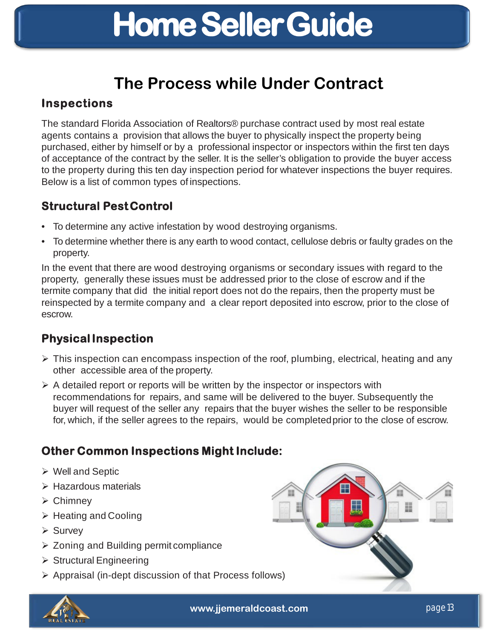## **The Process while Under Contract**

## **Inspections**

The standard Florida Association of Realtors® purchase contract used by most real estate agents contains a provision that allows the buyer to physically inspect the property being purchased, either by himself or by a professional inspector or inspectors within the first ten days of acceptance of the contract by the seller. It is the seller's obligation to provide the buyer access to the property during this ten day inspection period for whatever inspections the buyer requires. Below is a list of common types of inspections.

## **Structural PestControl**

- To determine any active infestation by wood destroying organisms.
- To determine whether there is any earth to wood contact, cellulose debris or faulty grades on the property.

In the event that there are wood destroying organisms or secondary issues with regard to the property, generally these issues must be addressed prior to the close of escrow and if the termite company that did the initial report does not do the repairs, then the property must be reinspected by a termite company and a clear report deposited into escrow, prior to the close of escrow.

## **PhysicalInspection**

- $\triangleright$  This inspection can encompass inspection of the roof, plumbing, electrical, heating and any other accessible area of the property.
- $\triangleright$  A detailed report or reports will be written by the inspector or inspectors with recommendations for repairs, and same will be delivered to the buyer. Subsequently the buyer will request of the seller any repairs that the buyer wishes the seller to be responsible for, which, if the seller agrees to the repairs, would be completedprior to the close of escrow.

## **Other Common Inspections Might Include:**

- Well and Septic
- $\triangleright$  Hazardous materials
- Chimney
- $\triangleright$  Heating and Cooling
- $\triangleright$  Survey
- $\geq$  Zoning and Building permit compliance
- $\triangleright$  Structural Engineering
- $\triangleright$  Appraisal (in-dept discussion of that Process follows)



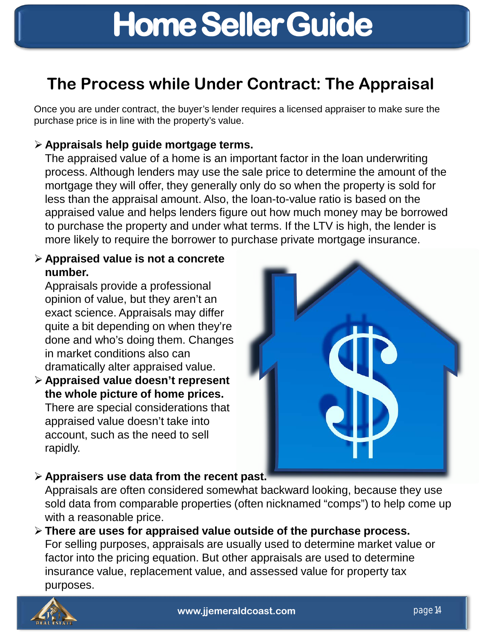## **The Process while Under Contract: The Appraisal**

Once you are under contract, the buyer's lender requires a licensed appraiser to make sure the purchase price is in line with the property's value.

## **Appraisals help guide mortgage terms.**

The appraised value of a home is an important factor in the loan underwriting process. Although lenders may use the sale price to determine the amount of the mortgage they will offer, they generally only do so when the property is sold for less than the appraisal amount. Also, the loan-to-value ratio is based on the appraised value and helps lenders figure out how much money may be borrowed to purchase the property and under what terms. If the LTV is high, the lender is more likely to require the borrower to purchase private mortgage insurance.

### **Appraised value is not a concrete number.**

Appraisals provide a professional opinion of value, but they aren't an exact science. Appraisals may differ quite a bit depending on when they're done and who's doing them. Changes in market conditions also can dramatically alter appraised value.

 **Appraised value doesn't represent the whole picture of home prices.** There are special considerations that appraised value doesn't take into account, such as the need to sell rapidly.



## **Appraisers use data from the recent past.**

Appraisals are often considered somewhat backward looking, because they use sold data from comparable properties (often nicknamed "comps") to help come up with a reasonable price.

 **There are uses for appraised value outside of the purchase process.**  For selling purposes, appraisals are usually used to determine market value or factor into the pricing equation. But other appraisals are used to determine insurance value, replacement value, and assessed value for property tax purposes.

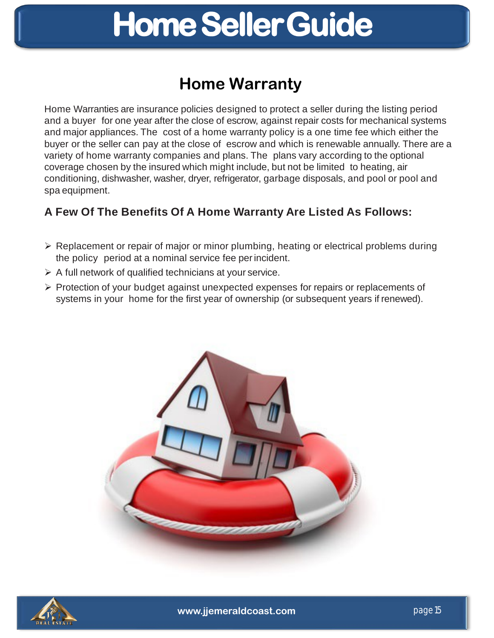## **Home Warranty**

Home Warranties are insurance policies designed to protect a seller during the listing period and a buyer for one year after the close of escrow, against repair costs for mechanical systems and major appliances. The cost of a home warranty policy is a one time fee which either the buyer or the seller can pay at the close of escrow and which is renewable annually. There are a variety of home warranty companies and plans. The plans vary according to the optional coverage chosen by the insured which might include, but not be limited to heating, air conditioning, dishwasher, washer, dryer, refrigerator, garbage disposals, and pool or pool and spa equipment.

## **A Few Of The Benefits Of A Home Warranty Are Listed As Follows:**

- $\triangleright$  Replacement or repair of major or minor plumbing, heating or electrical problems during the policy period at a nominal service fee perincident.
- $\triangleright$  A full network of qualified technicians at your service.
- Protection of your budget against unexpected expenses for repairs or replacements of systems in your home for the first year of ownership (or subsequent years if renewed).



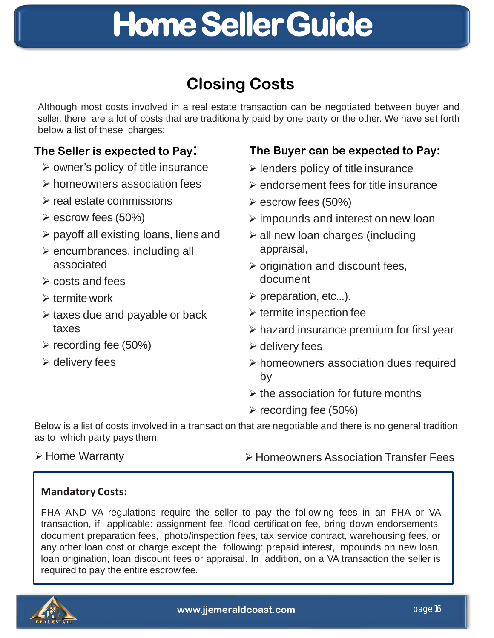## <u>me Seller Conce Conce</u> **Home SellerGuide**

## **Closing Costs**

Although most costs involved in a real estate transaction can be negotiated between buyer and seller, there are a lot of costs that are traditionally paid by one party or the other. We have set forth below a list of these charges:

- $\triangleright$  owner's policy of title insurance
- $\triangleright$  homeowners association fees
- $\triangleright$  real estate commissions
- $\triangleright$  escrow fees (50%)
- $\triangleright$  payoff all existing loans, liens and
- $\triangleright$  encumbrances, including all associated
- $\triangleright$  costs and fees
- $\triangleright$  termite work
- $\triangleright$  taxes due and payable or back taxes
- $\triangleright$  recording fee (50%)
- $\triangleright$  delivery fees

## **The Seller is expected to Pay: The Buyer can be expected to Pay:**

- $\triangleright$  lenders policy of title insurance
- $\triangleright$  endorsement fees for title insurance
- $\triangleright$  escrow fees (50%)
- $\triangleright$  impounds and interest on new loan
- $\ge$  all new loan charges (including appraisal,
- $\triangleright$  origination and discount fees, document
- $\triangleright$  preparation, etc...).
- $\triangleright$  termite inspection fee
- $\triangleright$  hazard insurance premium for first year
- $\triangleright$  delivery fees
- $\triangleright$  homeowners association dues required by
- $\triangleright$  the association for future months
- $\triangleright$  recording fee (50%)

Below is a list of costs involved in a transaction that are negotiable and there is no general tradition as to which party pays them:

- 
- **Example Warranty EXAMPLE THE EXAMPLE FEES** Association Transfer Fees

### **Mandatory Costs:**

FHA AND VA regulations require the seller to pay the following fees in an FHA or VA transaction, if applicable: assignment fee, flood certification fee, bring down endorsements, document preparation fees, photo/inspection fees, tax service contract, warehousing fees, or any other loan cost or charge except the following: prepaid interest, impounds on new loan, loan origination, loan discount fees or appraisal. In addition, on a VA transaction the seller is required to pay the entire escrow fee.

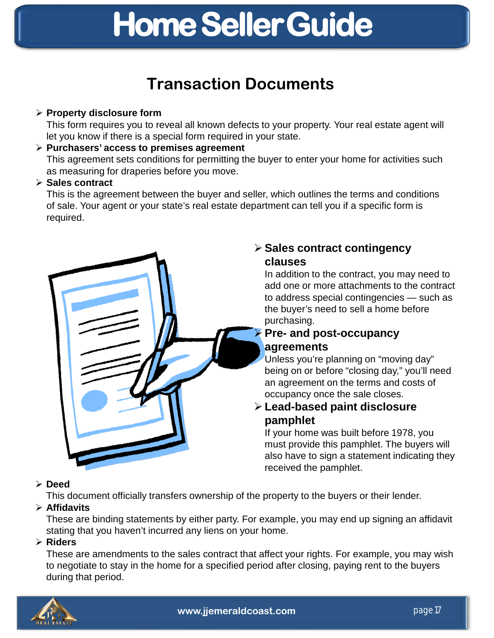## **Transaction Documents**

### **Property disclosure form**

This form requires you to reveal all known defects to your property. Your real estate agent will let you know if there is a special form required in your state.

### **Purchasers' access to premises agreement**

This agreement sets conditions for permitting the buyer to enter your home for activities such as measuring for draperies before you move.

### **Sales contract**

This is the agreement between the buyer and seller, which outlines the terms and conditions of sale. Your agent or your state's real estate department can tell you if a specific form is required.



## **Sales contract contingency clauses**

In addition to the contract, you may need to add one or more attachments to the contract to address special contingencies — such as the buyer's need to sell a home before purchasing.

## **Pre- and post-occupancy agreements**

Unless you're planning on "moving day" being on or before "closing day," you'll need an agreement on the terms and costs of occupancy once the sale closes.

## **Lead-based paint disclosure pamphlet**

If your home was built before 1978, you must provide this pamphlet. The buyers will also have to sign a statement indicating they received the pamphlet.

### **Deed**

This document officially transfers ownership of the property to the buyers or their lender.

## **Affidavits**

These are binding statements by either party. For example, you may end up signing an affidavit stating that you haven't incurred any liens on your home.

### **Riders**

These are amendments to the sales contract that affect your rights. For example, you may wish to negotiate to stay in the home for a specified period after closing, paying rent to the buyers during that period.

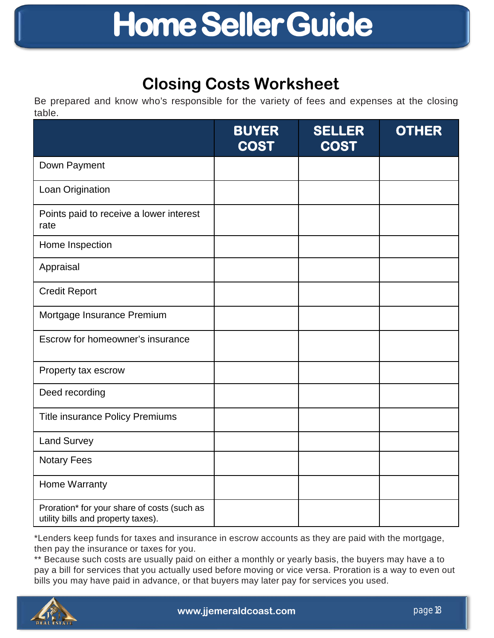## **Closing Costs Worksheet**

Be prepared and know who's responsible for the variety of fees and expenses at the closing table.

|                                                                                   | <b>BUYER</b><br><b>COST</b> | <b>SELLER</b><br><b>COST</b> | <b>OTHER</b> |
|-----------------------------------------------------------------------------------|-----------------------------|------------------------------|--------------|
| Down Payment                                                                      |                             |                              |              |
| Loan Origination                                                                  |                             |                              |              |
| Points paid to receive a lower interest<br>rate                                   |                             |                              |              |
| Home Inspection                                                                   |                             |                              |              |
| Appraisal                                                                         |                             |                              |              |
| <b>Credit Report</b>                                                              |                             |                              |              |
| Mortgage Insurance Premium                                                        |                             |                              |              |
| Escrow for homeowner's insurance                                                  |                             |                              |              |
| Property tax escrow                                                               |                             |                              |              |
| Deed recording                                                                    |                             |                              |              |
| <b>Title insurance Policy Premiums</b>                                            |                             |                              |              |
| <b>Land Survey</b>                                                                |                             |                              |              |
| <b>Notary Fees</b>                                                                |                             |                              |              |
| Home Warranty                                                                     |                             |                              |              |
| Proration* for your share of costs (such as<br>utility bills and property taxes). |                             |                              |              |

\*Lenders keep funds for taxes and insurance in escrow accounts as they are paid with the mortgage, then pay the insurance or taxes for you.

\*\* Because such costs are usually paid on either a monthly or yearly basis, the buyers may have a to pay a bill for services that you actually used before moving or vice versa. Proration is a way to even out bills you may have paid in advance, or that buyers may later pay for services you used.

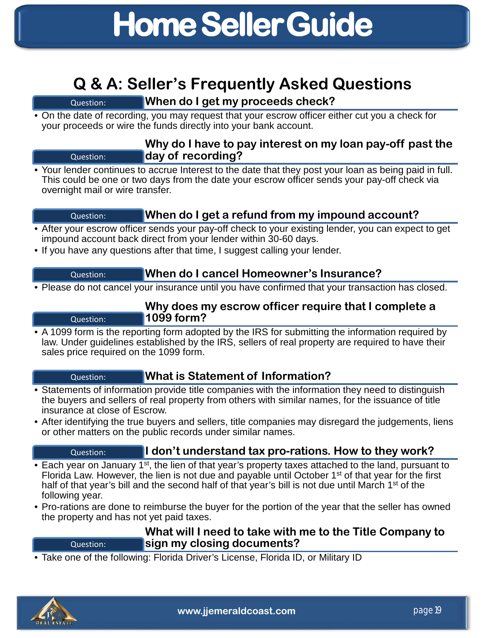## **Q & A: Seller's Frequently Asked Questions**

## Question: **When do I get my proceeds check?**

• On the date of recording, you may request that your escrow officer either cut you a check for your proceeds or wire the funds directly into your bank account.

### **Why do I have to pay interest on my loan pay-off past the**  Question: **day of recording?**

• Your lender continues to accrue Interest to the date that they post your loan as being paid in full. This could be one or two days from the date your escrow officer sends your pay-off check via overnight mail or wire transfer.

## Question: **When do I get a refund from my impound account?**

- After your escrow officer sends your pay-off check to your existing lender, you can expect to get impound account back direct from your lender within 30-60 days.
- If you have any questions after that time, I suggest calling your lender.

### Question: **When do I cancel Homeowner's Insurance?**

• Please do not cancel your insurance until you have confirmed that your transaction has closed.

### **Why does my escrow officer require that I complete a**  Question: **1099 form?**

• A 1099 form is the reporting form adopted by the IRS for submitting the information required by law. Under guidelines established by the IRS, sellers of real property are required to have their sales price required on the 1099 form.

## Question: **What is Statement of Information?**

- Statements of information provide title companies with the information they need to distinguish the buyers and sellers of real property from others with similar names, for the issuance of title insurance at close of Escrow.
- After identifying the true buyers and sellers, title companies may disregard the judgements, liens or other matters on the public records under similar names.

## Question: **I don't understand tax pro-rations. How to they work?**

- Each year on January 1<sup>st</sup>, the lien of that year's property taxes attached to the land, pursuant to Florida Law. However, the lien is not due and payable until October 1st of that year for the first half of that year's bill and the second half of that year's bill is not due until March 1<sup>st</sup> of the following year.
- Pro-rations are done to reimburse the buyer for the portion of the year that the seller has owned the property and has not yet paid taxes.

### **What will I need to take with me to the Title Company to**  Question: **sign my closing documents?**

• Take one of the following: Florida Driver's License, Florida ID, or Military ID